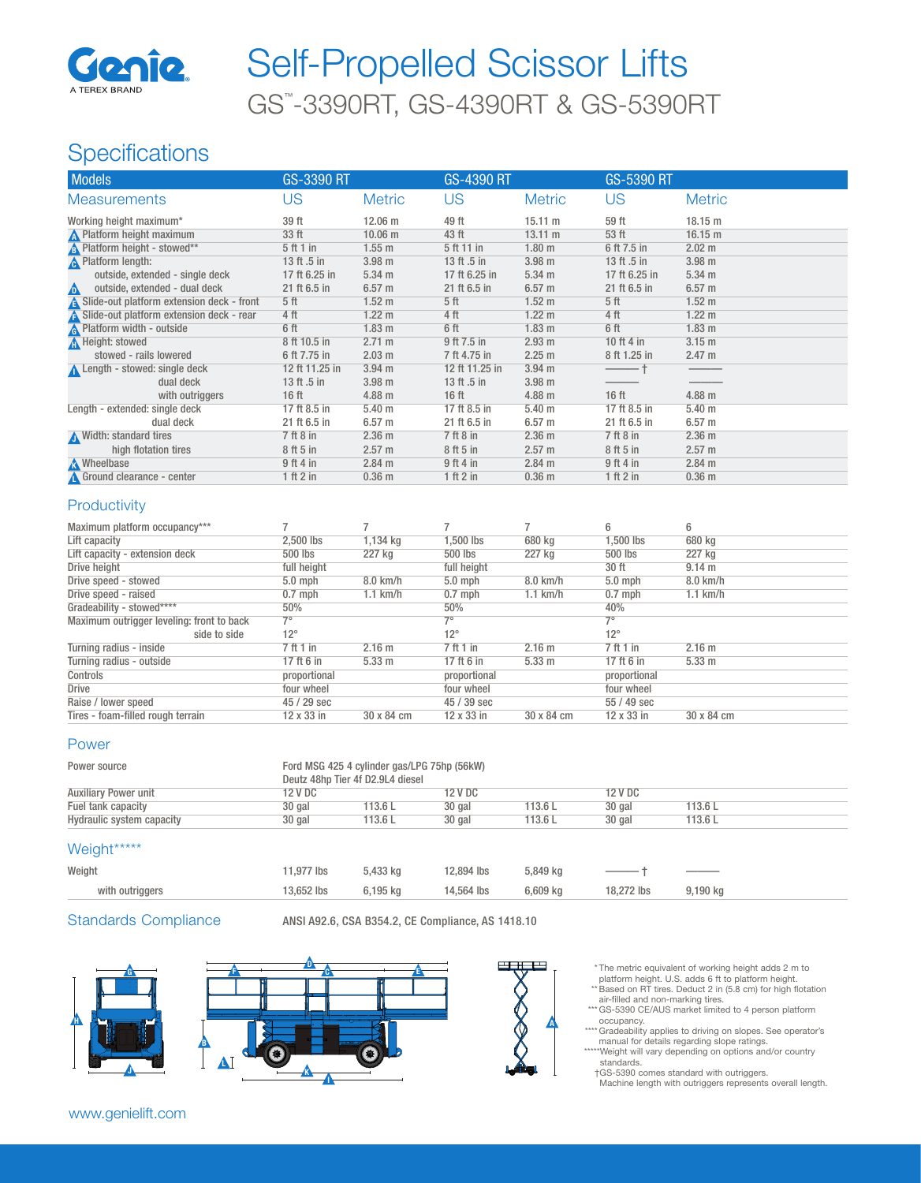

# GS™ -3390RT, GS-4390RT & GS-5390RT Self-Propelled Scissor Lifts

## **Specifications**

| <b>Models</b>                              | GS-3390 RT       |                   | <b>GS-4390 RT</b> |                   | GS-5390 RT       |                   |
|--------------------------------------------|------------------|-------------------|-------------------|-------------------|------------------|-------------------|
| <b>Measurements</b>                        | US               | <b>Metric</b>     | US                | <b>Metric</b>     | US               | <b>Metric</b>     |
| Working height maximum*                    | 39 ft            | 12.06 m           | 49 ft             | $15.11 \text{ m}$ | 59 ft            | 18.15 m           |
| N Platform height maximum                  | 33 ft            | 10.06 m           | 43 ft             | $13.11 \text{ m}$ | 53 ft            | 16.15 m           |
| <b>A</b> Platform height - stowed**        | 5 ft 1 in        | $1.55$ m          | 5 ft 11 in        | 1.80 <sub>m</sub> | 6 ft 7.5 in      | 2.02 m            |
| <b>A</b> Platform length:                  | 13 ft .5 in      | 3.98 <sub>m</sub> | 13 ft .5 in       | 3.98 <sub>m</sub> | 13 ft .5 in      | 3.98 <sub>m</sub> |
| outside, extended - single deck            | 17 ft 6.25 in    | $5.34 \; m$       | 17 ft 6.25 in     | $5.34 \text{ m}$  | 17 ft 6.25 in    | 5.34 <sub>m</sub> |
| outside, extended - dual deck<br>$\Delta$  | 21 ft 6.5 in     | 6.57 m            | 21 ft 6.5 in      | 6.57 m            | 21 ft 6.5 in     | $6.57$ m          |
| Slide-out platform extension deck - front  | 5 <sup>th</sup>  | $1.52 \text{ m}$  | 5 <sub>ft</sub>   | 1.52 <sub>m</sub> | 5 <sub>ft</sub>  | $1.52 \text{ m}$  |
| A Slide-out platform extension deck - rear | 4 ft             | $1.22 \text{ m}$  | 4 ft              | $1.22 \text{ m}$  | 4 ft             | $1.22 \text{ m}$  |
| <b>A</b> Platform width - outside          | 6 ft             | 1.83 <sub>m</sub> | 6 ft              | 1.83 <sub>m</sub> | 6 ft             | 1.83 <sub>m</sub> |
| <b>A</b> Height: stowed                    | 8 ft 10.5 in     | 2.71 m            | 9 ft 7.5 in       | 2.93 <sub>m</sub> | 10 ft 4 in       | 3.15 <sub>m</sub> |
| stowed - rails lowered                     | 6 ft 7.75 in     | 2.03 m            | 7 ft 4.75 in      | 2.25 m            | 8 ft 1.25 in     | 2.47 m            |
| Length - stowed: single deck               | 12 ft 11.25 in   | 3.94 <sub>m</sub> | 12 ft 11.25 in    | 3.94 <sub>m</sub> |                  |                   |
| dual deck                                  | 13 ft .5 in      | 3.98 <sub>m</sub> | 13 ft .5 in       | 3.98 <sub>m</sub> |                  |                   |
| with outriggers                            | 16 <sub>ft</sub> | 4.88 <sub>m</sub> | $16$ ft           | 4.88 m            | 16 <sub>ft</sub> | 4.88 m            |
| Length - extended: single deck             | 17 ft 8.5 in     | 5.40 <sub>m</sub> | 17 ft 8.5 in      | 5.40 <sub>m</sub> | 17 ft 8.5 in     | 5.40 <sub>m</sub> |
| dual deck                                  | 21 ft 6.5 in     | $6.57 \; m$       | 21 ft 6.5 in      | 6.57 m            | 21 ft 6.5 in     | 6.57 <sub>m</sub> |
| Width: standard tires                      | $7$ ft $8$ in    | 2.36 <sub>m</sub> | $7$ ft $8$ in     | 2.36 <sub>m</sub> | $7$ ft $8$ in    | 2.36 <sub>m</sub> |
| high flotation tires                       | 8 ft 5 in        | 2.57 m            | 8 ft 5 in         | 2.57 m            | 8 ft 5 in        | 2.57 m            |
| <b>Wheelbase</b>                           | 9 ft 4 in        | $2.84$ m          | 9 ft 4 in         | 2.84 m            | 9ft4in           | $2.84$ m          |
| Ground clearance - center                  | 1 ft 2 in        | 0.36 <sub>m</sub> | 1 ft 2 in         | 0.36 <sub>m</sub> | 1 ft 2 in        | 0.36 <sub>m</sub> |

#### **Productivity**

| Maximum platform occupancy***             |              |                   |              |                   | 6            | 6                |
|-------------------------------------------|--------------|-------------------|--------------|-------------------|--------------|------------------|
| Lift capacity                             | 2.500 lbs    | 1,134 kg          | 1.500 lbs    | 680 kg            | 1.500 lbs    | 680 kg           |
| Lift capacity - extension deck            | 500 lbs      | 227 kg            | 500 lbs      | 227 kg            | 500 lbs      | 227 kg           |
| Drive height                              | full height  |                   | full height  |                   | 30 ft        | 9.14 m           |
| Drive speed - stowed                      | $5.0$ mph    | 8.0 km/h          | $5.0$ mph    | 8.0 km/h          | $5.0$ mph    | 8.0 km/h         |
| Drive speed - raised                      | $0.7$ mph    | $1.1$ km/h        | $0.7$ mph    | $1.1$ km/h        | $0.7$ mph    | $1.1$ km/h       |
| Gradeability - stowed****                 | 50%          |                   | 50%          |                   | 40%          |                  |
| Maximum outrigger leveling: front to back | $7^\circ$    |                   | 70           |                   | 7°           |                  |
| side to side                              | $12^{\circ}$ |                   | $12^{\circ}$ |                   | $12^{\circ}$ |                  |
| Turning radius - inside                   | 7 ft 1 in    | 2.16 m            | 7 ft 1 in    | 2.16 <sub>m</sub> | 7 ft 1 in    | $2.16$ m         |
| Turning radius - outside                  | 17 ft 6 in   | 5.33 <sub>m</sub> | 17 ft 6 in   | 5.33 <sub>m</sub> | 17 ft 6 in   | $5.33 \text{ m}$ |
| Controls                                  | proportional |                   | proportional |                   | proportional |                  |
| Drive                                     | four wheel   |                   | four wheel   |                   | four wheel   |                  |
| Raise / lower speed                       | 45 / 29 sec  |                   | 45 / 39 sec  |                   | 55 / 49 sec  |                  |
| Tires - foam-filled rough terrain         | 12 x 33 in   | 30 x 84 cm        | 12 x 33 in   | 30 x 84 cm        | 12 x 33 in   | 30 x 84 cm       |

#### Power

| Power source                | Ford MSG 425 4 cylinder gas/LPG 75hp (56kW)<br>Deutz 48hp Tier 4f D2.9L4 diesel |         |         |         |         |         |  |
|-----------------------------|---------------------------------------------------------------------------------|---------|---------|---------|---------|---------|--|
| <b>Auxiliary Power unit</b> | 12 V DC                                                                         |         | 12 V DC |         | 12 V DC |         |  |
| Fuel tank capacity          | 30 gal                                                                          | 113.6 L | 30 gal  | 113.6 L | 30 gal  | 113.6L  |  |
| Hydraulic system capacity   | 30 gal                                                                          | 113.6 L | 30 gal  | 113.6 L | 30 gal  | 113.6 L |  |

#### Weight\*\*\*\*\*

| .               |            |          |            |          |            |                                                         |
|-----------------|------------|----------|------------|----------|------------|---------------------------------------------------------|
| Weight          | 11.977 lbs | 5.433 ka | 12,894 lbs | 5.849 ka |            | $\sim$ $\sim$ $\sim$ $\sim$ $\sim$ $\sim$ $\sim$ $\sim$ |
| with outriggers | 13.652 lbs | 6.195 ka | 14,564 lbs | 6.609 ka | 18.272 lbs | 9.190 kg                                                |
|                 |            |          |            |          |            |                                                         |

Standards Compliance ANSI A92.6, CSA B354.2, CE Compliance, AS 1418.10







- \* The metric equivalent of working height adds 2 m to<br>platform height. U.S. adds 6 ft to platform height.<br>\*\* Based on RT tires. Deduct 2 in (5.8 cm) for high flotation<br>air-filled and non-marking tires.<br>\*\*\* GS-5390 CE/AUS m
- 
- occupancy. \*\*\*\* Gradeability applies to driving on slopes. See operator's manual for details regarding slope ratings. \*\*\*\*\*Weight will vary depending on options and/or country
	- standards.

†GS-5390 comes standard with outriggers. Machine length with outriggers represents overall length.